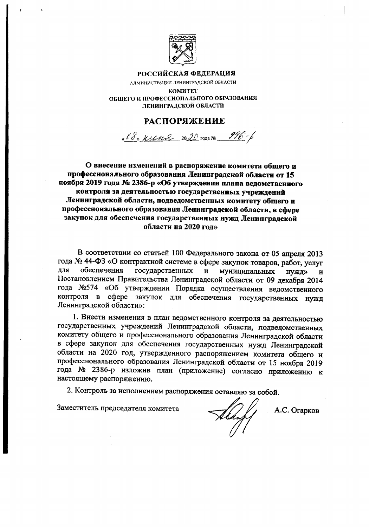

## РОССИЙСКАЯ ФЕДЕРАЦИЯ

АЛМИНИСТРАЦИЯ ЛЕНИНГРАДСКОЙ ОБЛАСТИ **КОМИТЕТ** ОБЩЕГО И ПРОФЕССИОНАЛЬНОГО ОБРАЗОВАНИЯ ЛЕНИНГРАДСКОЙ ОБЛАСТИ

## **РАСПОРЯЖЕНИЕ**

« 18» march 2020 rona No 996-6

О внесение изменений в распоряжение комитета общего и профессионального образования Ленинградской области от 15 ноября 2019 года № 2386-р «Об утверждении плана ведомственного контроля за деятельностью государственных учреждений Ленинградской области, подведомственных комитету общего и профессионального образования Ленинградской области, в сфере закупок для обеспечения государственных нужд Ленинградской области на 2020 год»

В соответствии со статьей 100 Федерального закона от 05 апреля 2013 года № 44-ФЗ «О контрактной системе в сфере закупок товаров, работ, услуг для обеспечения государственных  $\mathbf{H}$ муниципальных HVXD>  $\overline{\mathbf{H}}$ Постановлением Правительства Ленинградской области от 09 декабря 2014 года №574 «Об утверждении Порядка осуществления ведомственного контроля в сфере закупок для обеспечения государственных нужд Ленинградской области»:

1. Внести изменения в план ведомственного контроля за деятельностью государственных учреждений Ленинградской области, подведомственных комитету общего и профессионального образования Ленинградской области в сфере закупок для обеспечения государственных нужд Ленинградской области на 2020 год, утвержденного распоряжением комитета общего и профессионального образования Ленинградской области от 15 ноября 2019 года № 2386-р изложив план (приложение) согласно приложению к настоящему распоряжению.

2. Контроль за исполнением распоряжения оставляю за собой.

Заместитель председателя комитета

<u>thay</u>

А.С. Огарков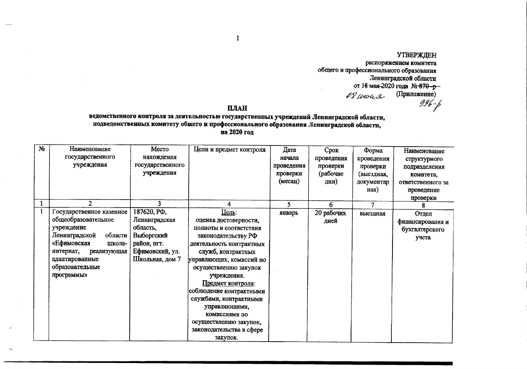**УТВЕРЖДЕН** распоряжением комитета общего и профессионального образования Ленинградской области от 18 мая 2020 года № 870-р- $\ell$ З игон (Приложение)  $996 - 6$ 

## **ILIAH**

 $\mathbf{1}$ 

## ведомственного контроля за деятельностью государственных учреждений Ленинградской области, подведомственных комитету общего и профессионального образования Ленинградской области, на 2020 год

| Ng           | Наименование             | Место                                  | Цели и предмет контроля  | Дата       | Срок       | Форма      | Наименование      |
|--------------|--------------------------|----------------------------------------|--------------------------|------------|------------|------------|-------------------|
|              | государственного         | нахождения                             |                          | начала     | проведения | проведения | структурного      |
|              | учреждения               | государственного                       |                          | проведения | проверки   | проверки   | подразделения     |
|              |                          | учреждения                             |                          | проверки   | (рабочие   | (выездная, | комитета.         |
|              |                          |                                        |                          | (месяц)    | дни)       | документар | ответственного за |
|              |                          |                                        |                          |            |            | ная)       | проведение        |
|              |                          |                                        |                          |            |            |            | проверки          |
| $\mathbf{1}$ | $\overline{2}$           | 3                                      | 4                        | 5          | 6          | $\tau$     |                   |
| $\mathbf{1}$ | Государственное казенное | 187620, P <sub><math>\Phi</math></sub> | Цель:                    | январь     | 20 рабочих | выездная   | Отдел             |
|              | общеобразовательное      | Ленинградская                          | оценка достоверности,    |            | дней       |            | финансирования и  |
|              | учреждение               | область,                               | полноты и соответствия   |            |            |            | бухгалтерского    |
|              | Ленинградской<br>области | Выборгский                             | законодательству РФ      |            |            |            | учета             |
|              | «Ефимовская<br>школа-    | район, пгт.                            | деятельность контрактных |            |            |            |                   |
|              | интернат,<br>реализующая | Ефимовский, ул.                        | служб, контрактных       |            |            |            |                   |
|              | адаптированные           | Школьная, дом 7                        | управляющих, комиссий по |            |            |            |                   |
|              | образовательные          |                                        | осуществлению закупок    |            |            |            |                   |
|              | программы»               |                                        | учреждения.              |            |            |            |                   |
|              |                          |                                        | Предмет контроля:        |            |            |            |                   |
|              |                          |                                        | соблюдение контрактными  |            |            |            |                   |
|              |                          |                                        | службами, контрактными   |            |            |            |                   |
|              |                          |                                        | управляющими,            |            |            |            |                   |
|              |                          |                                        | комиссиями по            |            |            |            |                   |
|              |                          |                                        | осуществлению закупок,   |            |            |            |                   |
|              |                          |                                        | законодательства в сфере |            |            |            |                   |
|              |                          |                                        | закупок.                 |            |            |            |                   |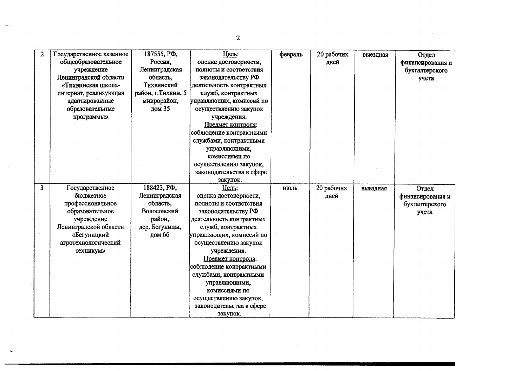| $\overline{2}$ | Государственное казенное | 187555, PD,                            | Цель:                    | февраль | 20 рабочих | выездная | Отдел            |
|----------------|--------------------------|----------------------------------------|--------------------------|---------|------------|----------|------------------|
|                | общеобразовательное      | Россия,                                | оценка достоверности,    |         | дней       |          | финансирования и |
|                | учреждение               | Ленинградская                          | полноты и соответствия   |         |            |          | бухгалтерского   |
|                | Ленинградской области    | область,                               | законодательству РФ      |         |            |          | учета            |
|                | «Тихвинская школа-       | Тихвинский                             | деятельность контрактных |         |            |          |                  |
|                | интернат, реализующая    | район, г. Тихвин, 5                    | служб, контрактных       |         |            |          |                  |
|                | адаптированные           | микрорайон,                            | управляющих, комиссий по |         |            |          |                  |
|                | образовательные          | дом 35                                 | осуществлению закупок    |         |            |          |                  |
|                | программы»               |                                        | учреждения.              |         |            |          |                  |
|                |                          |                                        | Предмет контроля:        |         |            |          |                  |
|                |                          |                                        | соблюдение контрактными  |         |            |          |                  |
|                |                          |                                        | службами, контрактными   |         |            |          |                  |
|                |                          |                                        | управляющими,            |         |            |          |                  |
|                |                          |                                        | комиссиями по            |         |            |          |                  |
|                |                          |                                        | осуществлению закупок,   |         |            |          |                  |
|                |                          |                                        | законодательства в сфере |         |            |          |                  |
|                |                          |                                        | закупок.                 |         |            |          |                  |
| $\overline{3}$ | Государственное          | 188423, P <sub><math>\Phi</math></sub> | Цель:                    | июль    | 20 рабочих | выездная | Отдел            |
|                |                          |                                        |                          |         |            |          |                  |
|                | бюджетное                | Ленинградская                          | оценка достоверности,    |         | дней       |          | финансирования и |
|                | профессиональное         | область,                               | полноты и соответствия   |         |            |          | бухгалтерского   |
|                | образовательное          | Волосовский                            | законодательству РФ      |         |            |          | учета            |
|                | учреждение               | район,                                 | деятельность контрактных |         |            |          |                  |
|                | Ленинградской области    | дер. Бегуницы,                         | служб, контрактных       |         |            |          |                  |
|                | «Бегуницкий              | дом 66                                 | управляющих, комиссий по |         |            |          |                  |
|                | агротехнологический      |                                        | осуществлению закупок    |         |            |          |                  |
|                | техникум»                |                                        | учреждения.              |         |            |          |                  |
|                |                          |                                        | Предмет контроля:        |         |            |          |                  |
|                |                          |                                        | соблюдение контрактными  |         |            |          |                  |
|                |                          |                                        | службами, контрактными   |         |            |          |                  |
|                |                          |                                        | управляющими,            |         |            |          |                  |
|                |                          |                                        | комиссиями по            |         |            |          |                  |
|                |                          |                                        | осуществлению закупок,   |         |            |          |                  |
|                |                          |                                        | законодательства в сфере |         |            |          |                  |

 $\overline{2}$ 

 $\sim$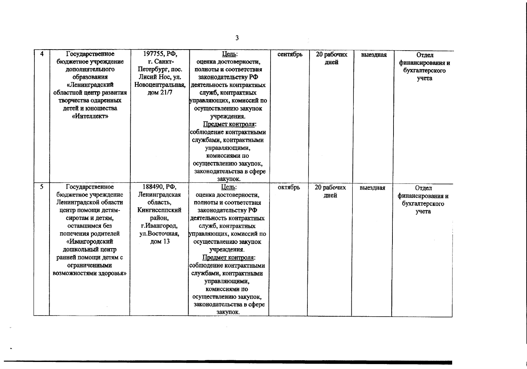| 4  | Государственное          | 197755, РФ,      | Цель:                    | сентябрь | 20 рабочих | выездная | Отдел            |
|----|--------------------------|------------------|--------------------------|----------|------------|----------|------------------|
|    | бюджетное учреждение     | r. Cankr-        | оценка достоверности,    |          | дней       |          | финансирования и |
|    | дополнительного          | Петербург, пос.  | полноты и соответствия   |          |            |          | бухгалтерского   |
|    | образования              | Лисий Нос, ул.   | законодательству РФ      |          |            |          | учета            |
|    | «Ленинградский           | Новоцентральная, | деятельность контрактных |          |            |          |                  |
|    | областной центр развития | дом 21/7         | служб, контрактных       |          |            |          |                  |
|    | творчества одаренных     |                  | управляющих, комиссий по |          |            |          |                  |
|    | детей и юношества        |                  | осуществлению закупок    |          |            |          |                  |
|    | «Интеллект»              |                  | учреждения.              |          |            |          |                  |
|    |                          |                  | Предмет контроля:        |          |            |          |                  |
|    |                          |                  | соблюдение контрактными  |          |            |          |                  |
|    |                          |                  | службами, контрактными   |          |            |          |                  |
|    |                          |                  | управляющими,            |          |            |          |                  |
|    |                          |                  | комиссиями по            |          |            |          |                  |
|    |                          |                  | осуществлению закупок,   |          |            |          |                  |
|    |                          |                  | законодательства в сфере |          |            |          |                  |
|    |                          |                  | закупок.                 |          |            |          |                  |
| Ś. | Государственное          | 188490, РФ,      | Цель:                    |          |            |          |                  |
|    |                          |                  |                          | октябрь  | 20 рабочих | выездная | Отдел            |
|    | бюджетное учреждение     | Ленинградская    | оценка достоверности,    |          | лией       |          | финансирования и |
|    | Ленинградской области    | область,         | полноты и соответствия   |          |            |          | бухгалтерского   |
|    | центр помощи детям-      | Кингисеппский    | законодательству РФ      |          |            |          | учета            |
|    | сиротам и детям,         | район,           | деятельность контрактных |          |            |          |                  |
|    | оставшимся без           | г. Ивангород,    | служб, контрактных       |          |            |          |                  |
|    | попечения родителей      | ул.Восточная,    | управляющих, комиссий по |          |            |          |                  |
|    | «Ивангородский           | дом 13           | осуществлению закупок    |          |            |          |                  |
|    | дошкольный центр         |                  | учреждения.              |          |            |          |                  |
|    | ранней помощи детям с    |                  | Предмет контроля:        |          |            |          |                  |
|    | ограниченными            |                  | соблюдение контрактными  |          |            |          |                  |
|    | возможностями здоровья»  |                  | службами, контрактными   |          |            |          |                  |
|    |                          |                  | управляющими,            |          |            |          |                  |
|    |                          |                  | комиссиями по            |          |            |          |                  |
|    |                          |                  | осуществлению закупок,   |          |            |          |                  |
|    |                          |                  | законодательства в сфере |          |            |          |                  |

 $\overline{3}$ 

 $\label{eq:2.1} \frac{d}{dt} \int_{-\infty}^{\infty} \frac{d\mu}{dt} \, dt \leq \frac{1}{2\pi} \sum_{i=1}^n \frac{d\mu}{dt} \int_{-\infty}^{\infty} \frac{d\mu}{dt} \, dt \leq \frac{1}{2\pi} \sum_{i=1}^n \frac{d\mu}{dt} \, dt.$